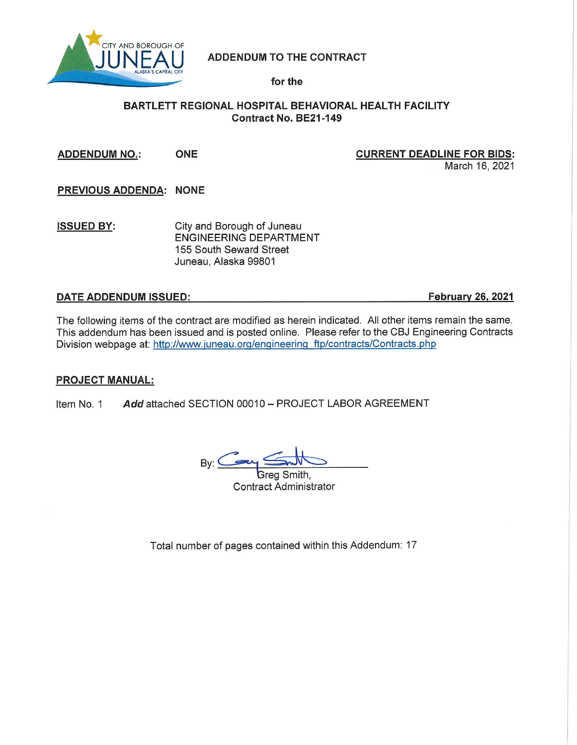

**ADDENDUM TO THE CONTRACT** 

for the

# BARTLETT REGIONAL HOSPITAL BEHAVIORAL HEALTH FACILITY Contract No. BE21-149

**ONE ADDENDUM NO.:** 

**CURRENT DEADLINE FOR BIDS:** March 16, 2021

PREVIOUS ADDENDA: NONE

City and Borough of Juneau **ISSUED BY: ENGINEERING DEPARTMENT** 155 South Seward Street Juneau, Alaska 99801

# **DATE ADDENDUM ISSUED:**

**February 26, 2021** 

The following items of the contract are modified as herein indicated. All other items remain the same. This addendum has been issued and is posted online. Please refer to the CBJ Engineering Contracts Division webpage at: http://www.juneau.org/engineering\_ftp/contracts/Contracts.php

# **PROJECT MANUAL:**

Item No. 1 Add attached SECTION 00010 - PROJECT LABOR AGREEMENT

 $By: \leq$ 

Greg Smith **Contract Administrator** 

Total number of pages contained within this Addendum: 17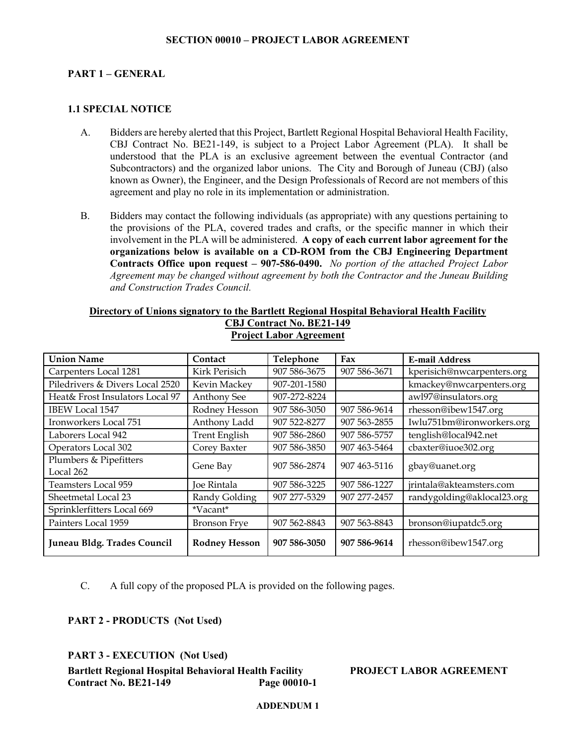# **PART 1 – GENERAL**

# **1.1 SPECIAL NOTICE**

- A. Bidders are hereby alerted that this Project, Bartlett Regional Hospital Behavioral Health Facility, CBJ Contract No. BE21-149, is subject to a Project Labor Agreement (PLA). It shall be understood that the PLA is an exclusive agreement between the eventual Contractor (and Subcontractors) and the organized labor unions. The City and Borough of Juneau (CBJ) (also known as Owner), the Engineer, and the Design Professionals of Record are not members of this agreement and play no role in its implementation or administration.
- B. Bidders may contact the following individuals (as appropriate) with any questions pertaining to the provisions of the PLA, covered trades and crafts, or the specific manner in which their involvement in the PLA will be administered. **A copy of each current labor agreement for the organizations below is available on a CD-ROM from the CBJ Engineering Department Contracts Office upon request – 907-586-0490.** *No portion of the attached Project Labor Agreement may be changed without agreement by both the Contractor and the Juneau Building and Construction Trades Council.*

# **Directory of Unions signatory to the Bartlett Regional Hospital Behavioral Health Facility CBJ Contract No. BE21-149 Project Labor Agreement**

| <b>Union Name</b>                   | Contact              | Telephone    | Fax          | <b>E-mail Address</b>      |
|-------------------------------------|----------------------|--------------|--------------|----------------------------|
| Carpenters Local 1281               | Kirk Perisich        | 907 586-3675 | 907 586-3671 | kperisich@nwcarpenters.org |
| Piledrivers & Divers Local 2520     | Kevin Mackey         | 907-201-1580 |              | kmackey@nwcarpenters.org   |
| Heat& Frost Insulators Local 97     | <b>Anthony See</b>   | 907-272-8224 |              | awl97@insulators.org       |
| IBEW Local 1547                     | Rodney Hesson        | 907 586-3050 | 907 586-9614 | rhesson@ibew1547.org       |
| Ironworkers Local 751               | Anthony Ladd         | 907 522-8277 | 907 563-2855 | Iwlu751bm@ironworkers.org  |
| Laborers Local 942                  | <b>Trent English</b> | 907 586-2860 | 907 586-5757 | tenglish@local942.net      |
| Operators Local 302                 | Corey Baxter         | 907 586-3850 | 907 463-5464 | cbaxter@iuoe302.org        |
| Plumbers & Pipefitters<br>Local 262 | Gene Bay             | 907 586-2874 | 907 463-5116 | gbay@uanet.org             |
| Teamsters Local 959                 | Joe Rintala          | 907 586-3225 | 907 586-1227 | jrintala@akteamsters.com   |
| Sheetmetal Local 23                 | Randy Golding        | 907 277-5329 | 907 277-2457 | randygolding@aklocal23.org |
| Sprinklerfitters Local 669          | *Vacant*             |              |              |                            |
| Painters Local 1959                 | <b>Bronson Frye</b>  | 907 562-8843 | 907 563-8843 | bronson@iupatdc5.org       |
| Juneau Bldg. Trades Council         | <b>Rodney Hesson</b> | 907 586-3050 | 907 586-9614 | rhesson@ibew1547.org       |

C. A full copy of the proposed PLA is provided on the following pages.

**PART 2 - PRODUCTS (Not Used)**

# **PART 3 - EXECUTION (Not Used)**

**Bartlett Regional Hospital Behavioral Health Facility PROJECT LABOR AGREEMENT Contract No. BE21-149**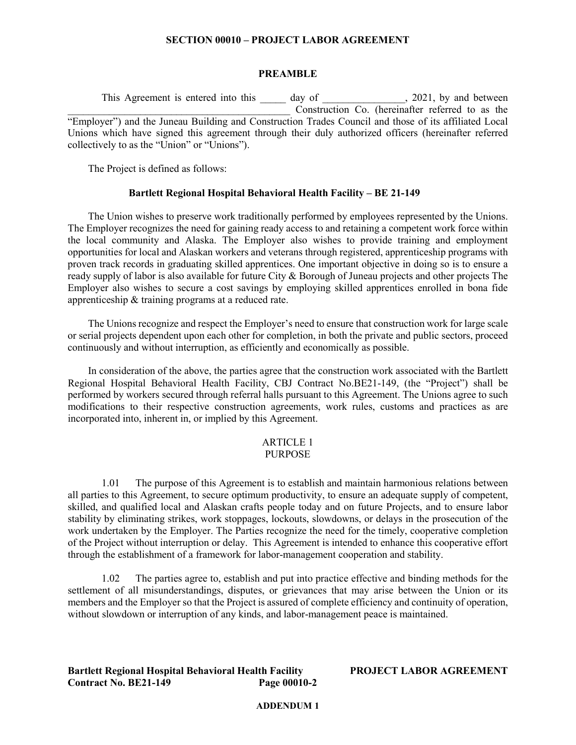### **PREAMBLE**

This Agreement is entered into this \_\_\_\_\_\_\_ day of \_\_\_\_\_\_\_\_\_\_\_\_\_\_\_, 2021, by and between Construction Co. (hereinafter referred to as the "Employer") and the Juneau Building and Construction Trades Council and those of its affiliated Local Unions which have signed this agreement through their duly authorized officers (hereinafter referred collectively to as the "Union" or "Unions").

The Project is defined as follows:

# **Bartlett Regional Hospital Behavioral Health Facility – BE 21-149**

The Union wishes to preserve work traditionally performed by employees represented by the Unions. The Employer recognizes the need for gaining ready access to and retaining a competent work force within the local community and Alaska. The Employer also wishes to provide training and employment opportunities for local and Alaskan workers and veterans through registered, apprenticeship programs with proven track records in graduating skilled apprentices. One important objective in doing so is to ensure a ready supply of labor is also available for future City & Borough of Juneau projects and other projects The Employer also wishes to secure a cost savings by employing skilled apprentices enrolled in bona fide apprenticeship & training programs at a reduced rate.

The Unions recognize and respect the Employer's need to ensure that construction work for large scale or serial projects dependent upon each other for completion, in both the private and public sectors, proceed continuously and without interruption, as efficiently and economically as possible.

In consideration of the above, the parties agree that the construction work associated with the Bartlett Regional Hospital Behavioral Health Facility, CBJ Contract No.BE21-149, (the "Project") shall be performed by workers secured through referral halls pursuant to this Agreement. The Unions agree to such modifications to their respective construction agreements, work rules, customs and practices as are incorporated into, inherent in, or implied by this Agreement.

#### ARTICLE 1 PURPOSE

# 1.01 The purpose of this Agreement is to establish and maintain harmonious relations between all parties to this Agreement, to secure optimum productivity, to ensure an adequate supply of competent, skilled, and qualified local and Alaskan crafts people today and on future Projects, and to ensure labor stability by eliminating strikes, work stoppages, lockouts, slowdowns, or delays in the prosecution of the work undertaken by the Employer. The Parties recognize the need for the timely, cooperative completion of the Project without interruption or delay. This Agreement is intended to enhance this cooperative effort through the establishment of a framework for labor-management cooperation and stability.

1.02 The parties agree to, establish and put into practice effective and binding methods for the settlement of all misunderstandings, disputes, or grievances that may arise between the Union or its members and the Employer so that the Project is assured of complete efficiency and continuity of operation, without slowdown or interruption of any kinds, and labor-management peace is maintained.

**Bartlett Regional Hospital Behavioral Health Facility PROJECT LABOR AGREEMENT Contract No. BE21-149**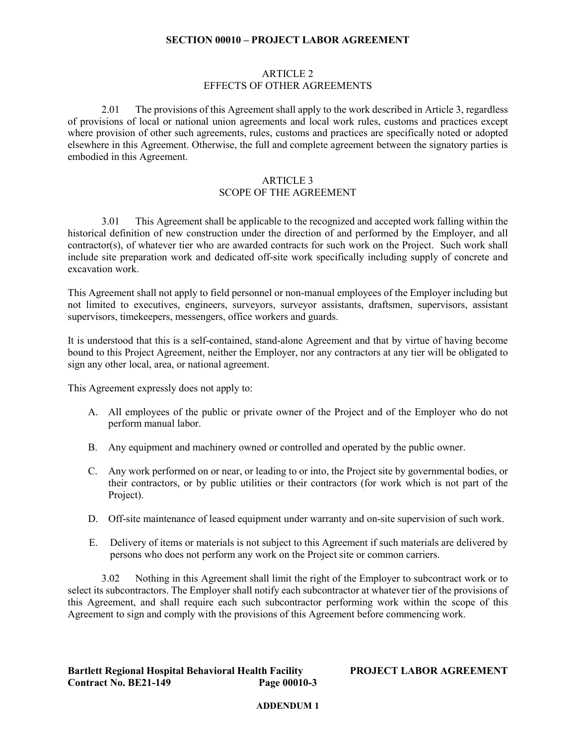# ARTICLE 2 EFFECTS OF OTHER AGREEMENTS

2.01 The provisions of this Agreement shall apply to the work described in Article 3, regardless of provisions of local or national union agreements and local work rules, customs and practices except where provision of other such agreements, rules, customs and practices are specifically noted or adopted elsewhere in this Agreement. Otherwise, the full and complete agreement between the signatory parties is embodied in this Agreement.

### ARTICLE 3 SCOPE OF THE AGREEMENT

3.01 This Agreement shall be applicable to the recognized and accepted work falling within the historical definition of new construction under the direction of and performed by the Employer, and all contractor(s), of whatever tier who are awarded contracts for such work on the Project. Such work shall include site preparation work and dedicated off-site work specifically including supply of concrete and excavation work.

This Agreement shall not apply to field personnel or non-manual employees of the Employer including but not limited to executives, engineers, surveyors, surveyor assistants, draftsmen, supervisors, assistant supervisors, timekeepers, messengers, office workers and guards.

It is understood that this is a self-contained, stand-alone Agreement and that by virtue of having become bound to this Project Agreement, neither the Employer, nor any contractors at any tier will be obligated to sign any other local, area, or national agreement.

This Agreement expressly does not apply to:

- A. All employees of the public or private owner of the Project and of the Employer who do not perform manual labor.
- B. Any equipment and machinery owned or controlled and operated by the public owner.
- C. Any work performed on or near, or leading to or into, the Project site by governmental bodies, or their contractors, or by public utilities or their contractors (for work which is not part of the Project).
- D. Off-site maintenance of leased equipment under warranty and on-site supervision of such work.
- E. Delivery of items or materials is not subject to this Agreement if such materials are delivered by persons who does not perform any work on the Project site or common carriers.

3.02 Nothing in this Agreement shall limit the right of the Employer to subcontract work or to select its subcontractors. The Employer shall notify each subcontractor at whatever tier of the provisions of this Agreement, and shall require each such subcontractor performing work within the scope of this Agreement to sign and comply with the provisions of this Agreement before commencing work.

# **Bartlett Regional Hospital Behavioral Health Facility PROJECT LABOR AGREEMENT Contract No. BE21-149**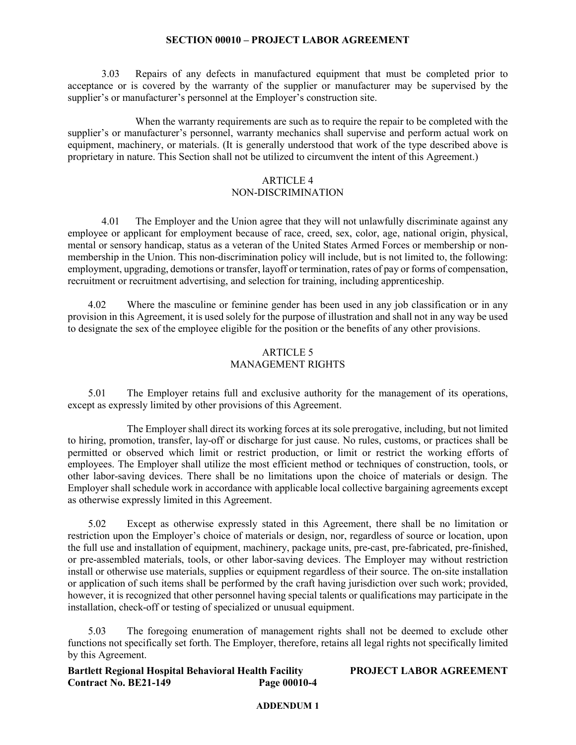3.03 Repairs of any defects in manufactured equipment that must be completed prior to acceptance or is covered by the warranty of the supplier or manufacturer may be supervised by the supplier's or manufacturer's personnel at the Employer's construction site.

When the warranty requirements are such as to require the repair to be completed with the supplier's or manufacturer's personnel, warranty mechanics shall supervise and perform actual work on equipment, machinery, or materials. (It is generally understood that work of the type described above is proprietary in nature. This Section shall not be utilized to circumvent the intent of this Agreement.)

# ARTICLE 4

# NON-DISCRIMINATION

4.01 The Employer and the Union agree that they will not unlawfully discriminate against any employee or applicant for employment because of race, creed, sex, color, age, national origin, physical, mental or sensory handicap, status as a veteran of the United States Armed Forces or membership or nonmembership in the Union. This non-discrimination policy will include, but is not limited to, the following: employment, upgrading, demotions or transfer, layoff or termination, rates of pay or forms of compensation, recruitment or recruitment advertising, and selection for training, including apprenticeship.

4.02 Where the masculine or feminine gender has been used in any job classification or in any provision in this Agreement, it is used solely for the purpose of illustration and shall not in any way be used to designate the sex of the employee eligible for the position or the benefits of any other provisions.

# ARTICLE 5 MANAGEMENT RIGHTS

5.01 The Employer retains full and exclusive authority for the management of its operations, except as expressly limited by other provisions of this Agreement.

The Employer shall direct its working forces at its sole prerogative, including, but not limited to hiring, promotion, transfer, lay-off or discharge for just cause. No rules, customs, or practices shall be permitted or observed which limit or restrict production, or limit or restrict the working efforts of employees. The Employer shall utilize the most efficient method or techniques of construction, tools, or other labor-saving devices. There shall be no limitations upon the choice of materials or design. The Employer shall schedule work in accordance with applicable local collective bargaining agreements except as otherwise expressly limited in this Agreement.

5.02 Except as otherwise expressly stated in this Agreement, there shall be no limitation or restriction upon the Employer's choice of materials or design, nor, regardless of source or location, upon the full use and installation of equipment, machinery, package units, pre-cast, pre-fabricated, pre-finished, or pre-assembled materials, tools, or other labor-saving devices. The Employer may without restriction install or otherwise use materials, supplies or equipment regardless of their source. The on-site installation or application of such items shall be performed by the craft having jurisdiction over such work; provided, however, it is recognized that other personnel having special talents or qualifications may participate in the installation, check-off or testing of specialized or unusual equipment.

5.03 The foregoing enumeration of management rights shall not be deemed to exclude other functions not specifically set forth. The Employer, therefore, retains all legal rights not specifically limited by this Agreement.

**Bartlett Regional Hospital Behavioral Health Facility PROJECT LABOR AGREEMENT Contract No. BE21-149**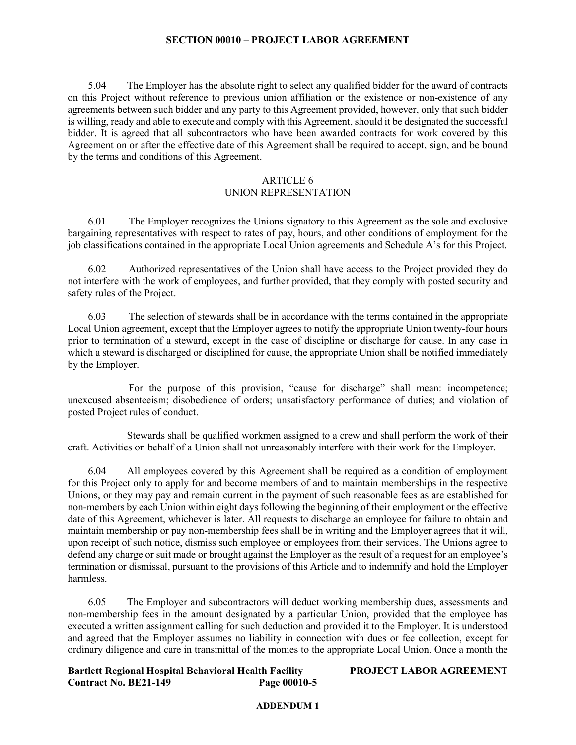5.04 The Employer has the absolute right to select any qualified bidder for the award of contracts on this Project without reference to previous union affiliation or the existence or non-existence of any agreements between such bidder and any party to this Agreement provided, however, only that such bidder is willing, ready and able to execute and comply with this Agreement, should it be designated the successful bidder. It is agreed that all subcontractors who have been awarded contracts for work covered by this Agreement on or after the effective date of this Agreement shall be required to accept, sign, and be bound by the terms and conditions of this Agreement.

# ARTICLE 6

# UNION REPRESENTATION

6.01 The Employer recognizes the Unions signatory to this Agreement as the sole and exclusive bargaining representatives with respect to rates of pay, hours, and other conditions of employment for the job classifications contained in the appropriate Local Union agreements and Schedule A's for this Project.

6.02 Authorized representatives of the Union shall have access to the Project provided they do not interfere with the work of employees, and further provided, that they comply with posted security and safety rules of the Project.

6.03 The selection of stewards shall be in accordance with the terms contained in the appropriate Local Union agreement, except that the Employer agrees to notify the appropriate Union twenty-four hours prior to termination of a steward, except in the case of discipline or discharge for cause. In any case in which a steward is discharged or disciplined for cause, the appropriate Union shall be notified immediately by the Employer.

For the purpose of this provision, "cause for discharge" shall mean: incompetence; unexcused absenteeism; disobedience of orders; unsatisfactory performance of duties; and violation of posted Project rules of conduct.

Stewards shall be qualified workmen assigned to a crew and shall perform the work of their craft. Activities on behalf of a Union shall not unreasonably interfere with their work for the Employer.

6.04 All employees covered by this Agreement shall be required as a condition of employment for this Project only to apply for and become members of and to maintain memberships in the respective Unions, or they may pay and remain current in the payment of such reasonable fees as are established for non-members by each Union within eight days following the beginning of their employment or the effective date of this Agreement, whichever is later. All requests to discharge an employee for failure to obtain and maintain membership or pay non-membership fees shall be in writing and the Employer agrees that it will, upon receipt of such notice, dismiss such employee or employees from their services. The Unions agree to defend any charge or suit made or brought against the Employer as the result of a request for an employee's termination or dismissal, pursuant to the provisions of this Article and to indemnify and hold the Employer harmless.

6.05 The Employer and subcontractors will deduct working membership dues, assessments and non-membership fees in the amount designated by a particular Union, provided that the employee has executed a written assignment calling for such deduction and provided it to the Employer. It is understood and agreed that the Employer assumes no liability in connection with dues or fee collection, except for ordinary diligence and care in transmittal of the monies to the appropriate Local Union. Once a month the

**Bartlett Regional Hospital Behavioral Health Facility PROJECT LABOR AGREEMENT Contract No. BE21-149 Page 00010-5**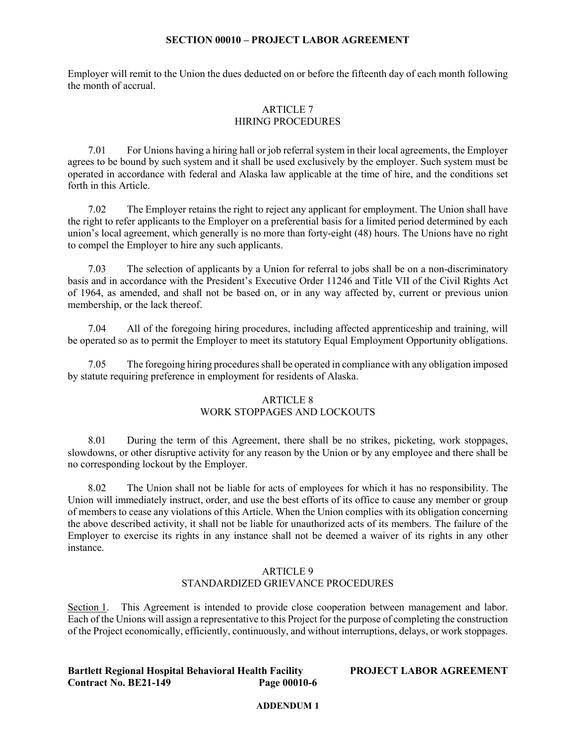Employer will remit to the Union the dues deducted on or before the fifteenth day of each month following the month of accrual.

# ARTICLE 7 HIRING PROCEDURES

7.01 For Unions having a hiring hall or job referral system in their local agreements, the Employer agrees to be bound by such system and it shall be used exclusively by the employer. Such system must be operated in accordance with federal and Alaska law applicable at the time of hire, and the conditions set forth in this Article.

7.02 The Employer retains the right to reject any applicant for employment. The Union shall have the right to refer applicants to the Employer on a preferential basis for a limited period determined by each union's local agreement, which generally is no more than forty-eight (48) hours. The Unions have no right to compel the Employer to hire any such applicants.

7.03 The selection of applicants by a Union for referral to jobs shall be on a non-discriminatory basis and in accordance with the President's Executive Order 11246 and Title VII of the Civil Rights Act of 1964, as amended, and shall not be based on, or in any way affected by, current or previous union membership, or the lack thereof.

7.04 All of the foregoing hiring procedures, including affected apprenticeship and training, will be operated so as to permit the Employer to meet its statutory Equal Employment Opportunity obligations.

7.05 The foregoing hiring procedures shall be operated in compliance with any obligation imposed by statute requiring preference in employment for residents of Alaska.

# ARTICLE 8

# WORK STOPPAGES AND LOCKOUTS

8.01 During the term of this Agreement, there shall be no strikes, picketing, work stoppages, slowdowns, or other disruptive activity for any reason by the Union or by any employee and there shall be no corresponding lockout by the Employer.

8.02 The Union shall not be liable for acts of employees for which it has no responsibility. The Union will immediately instruct, order, and use the best efforts of its office to cause any member or group of members to cease any violations of this Article. When the Union complies with its obligation concerning the above described activity, it shall not be liable for unauthorized acts of its members. The failure of the Employer to exercise its rights in any instance shall not be deemed a waiver of its rights in any other instance.

# ARTICLE 9 STANDARDIZED GRIEVANCE PROCEDURES

Section 1. This Agreement is intended to provide close cooperation between management and labor. Each of the Unions will assign a representative to this Project for the purpose of completing the construction of the Project economically, efficiently, continuously, and without interruptions, delays, or work stoppages.

**Bartlett Regional Hospital Behavioral Health Facility PROJECT LABOR AGREEMENT Contract No. BE21-149**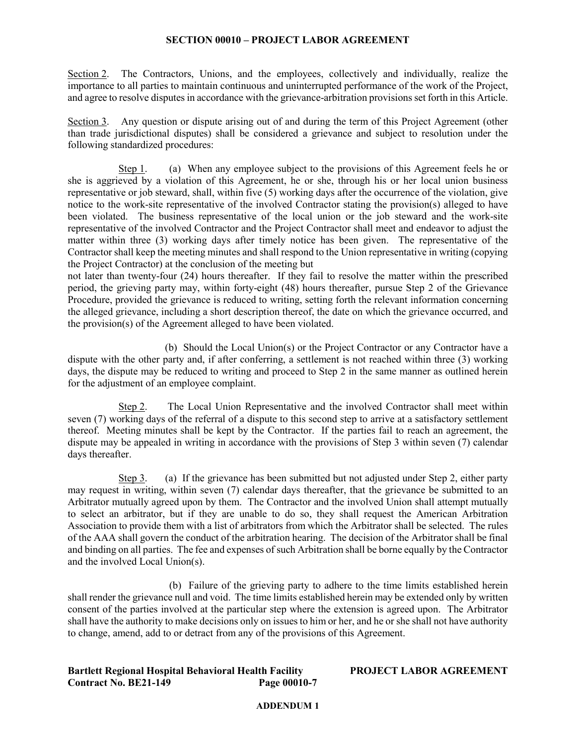Section 2. The Contractors, Unions, and the employees, collectively and individually, realize the importance to all parties to maintain continuous and uninterrupted performance of the work of the Project, and agree to resolve disputes in accordance with the grievance-arbitration provisions set forth in this Article.

Section 3. Any question or dispute arising out of and during the term of this Project Agreement (other than trade jurisdictional disputes) shall be considered a grievance and subject to resolution under the following standardized procedures:

Step 1. (a) When any employee subject to the provisions of this Agreement feels he or she is aggrieved by a violation of this Agreement, he or she, through his or her local union business representative or job steward, shall, within five (5) working days after the occurrence of the violation, give notice to the work-site representative of the involved Contractor stating the provision(s) alleged to have been violated. The business representative of the local union or the job steward and the work-site representative of the involved Contractor and the Project Contractor shall meet and endeavor to adjust the matter within three (3) working days after timely notice has been given. The representative of the Contractor shall keep the meeting minutes and shall respond to the Union representative in writing (copying the Project Contractor) at the conclusion of the meeting but

not later than twenty-four (24) hours thereafter. If they fail to resolve the matter within the prescribed period, the grieving party may, within forty-eight (48) hours thereafter, pursue Step 2 of the Grievance Procedure, provided the grievance is reduced to writing, setting forth the relevant information concerning the alleged grievance, including a short description thereof, the date on which the grievance occurred, and the provision(s) of the Agreement alleged to have been violated.

(b) Should the Local Union(s) or the Project Contractor or any Contractor have a dispute with the other party and, if after conferring, a settlement is not reached within three (3) working days, the dispute may be reduced to writing and proceed to Step 2 in the same manner as outlined herein for the adjustment of an employee complaint.

Step 2. The Local Union Representative and the involved Contractor shall meet within seven (7) working days of the referral of a dispute to this second step to arrive at a satisfactory settlement thereof. Meeting minutes shall be kept by the Contractor. If the parties fail to reach an agreement, the dispute may be appealed in writing in accordance with the provisions of Step 3 within seven (7) calendar days thereafter.

Step 3. (a) If the grievance has been submitted but not adjusted under Step 2, either party may request in writing, within seven (7) calendar days thereafter, that the grievance be submitted to an Arbitrator mutually agreed upon by them. The Contractor and the involved Union shall attempt mutually to select an arbitrator, but if they are unable to do so, they shall request the American Arbitration Association to provide them with a list of arbitrators from which the Arbitrator shall be selected. The rules of the AAA shall govern the conduct of the arbitration hearing. The decision of the Arbitrator shall be final and binding on all parties. The fee and expenses of such Arbitration shall be borne equally by the Contractor and the involved Local Union(s).

(b) Failure of the grieving party to adhere to the time limits established herein shall render the grievance null and void. The time limits established herein may be extended only by written consent of the parties involved at the particular step where the extension is agreed upon. The Arbitrator shall have the authority to make decisions only on issues to him or her, and he or she shall not have authority to change, amend, add to or detract from any of the provisions of this Agreement.

**Bartlett Regional Hospital Behavioral Health Facility PROJECT LABOR AGREEMENT Contract No. BE21-149**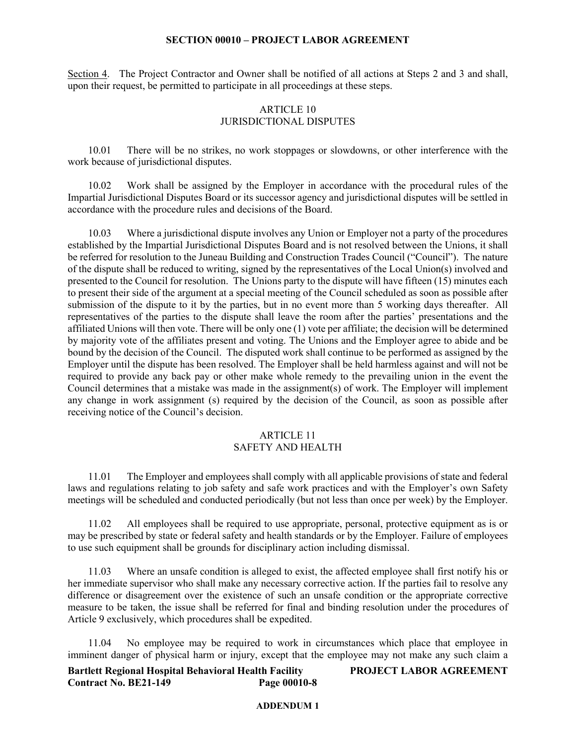Section 4. The Project Contractor and Owner shall be notified of all actions at Steps 2 and 3 and shall, upon their request, be permitted to participate in all proceedings at these steps.

### ARTICLE 10 JURISDICTIONAL DISPUTES

10.01 There will be no strikes, no work stoppages or slowdowns, or other interference with the work because of jurisdictional disputes.

10.02 Work shall be assigned by the Employer in accordance with the procedural rules of the Impartial Jurisdictional Disputes Board or its successor agency and jurisdictional disputes will be settled in accordance with the procedure rules and decisions of the Board.

10.03 Where a jurisdictional dispute involves any Union or Employer not a party of the procedures established by the Impartial Jurisdictional Disputes Board and is not resolved between the Unions, it shall be referred for resolution to the Juneau Building and Construction Trades Council ("Council"). The nature of the dispute shall be reduced to writing, signed by the representatives of the Local Union(s) involved and presented to the Council for resolution. The Unions party to the dispute will have fifteen (15) minutes each to present their side of the argument at a special meeting of the Council scheduled as soon as possible after submission of the dispute to it by the parties, but in no event more than 5 working days thereafter. All representatives of the parties to the dispute shall leave the room after the parties' presentations and the affiliated Unions will then vote. There will be only one (1) vote per affiliate; the decision will be determined by majority vote of the affiliates present and voting. The Unions and the Employer agree to abide and be bound by the decision of the Council. The disputed work shall continue to be performed as assigned by the Employer until the dispute has been resolved. The Employer shall be held harmless against and will not be required to provide any back pay or other make whole remedy to the prevailing union in the event the Council determines that a mistake was made in the assignment(s) of work. The Employer will implement any change in work assignment (s) required by the decision of the Council, as soon as possible after receiving notice of the Council's decision.

# ARTICLE 11 SAFETY AND HEALTH

11.01 The Employer and employees shall comply with all applicable provisions of state and federal laws and regulations relating to job safety and safe work practices and with the Employer's own Safety meetings will be scheduled and conducted periodically (but not less than once per week) by the Employer.

11.02 All employees shall be required to use appropriate, personal, protective equipment as is or may be prescribed by state or federal safety and health standards or by the Employer. Failure of employees to use such equipment shall be grounds for disciplinary action including dismissal.

11.03 Where an unsafe condition is alleged to exist, the affected employee shall first notify his or her immediate supervisor who shall make any necessary corrective action. If the parties fail to resolve any difference or disagreement over the existence of such an unsafe condition or the appropriate corrective measure to be taken, the issue shall be referred for final and binding resolution under the procedures of Article 9 exclusively, which procedures shall be expedited.

11.04 No employee may be required to work in circumstances which place that employee in imminent danger of physical harm or injury, except that the employee may not make any such claim a

**Bartlett Regional Hospital Behavioral Health Facility PROJECT LABOR AGREEMENT Contract No. BE21-149 Page 00010-8**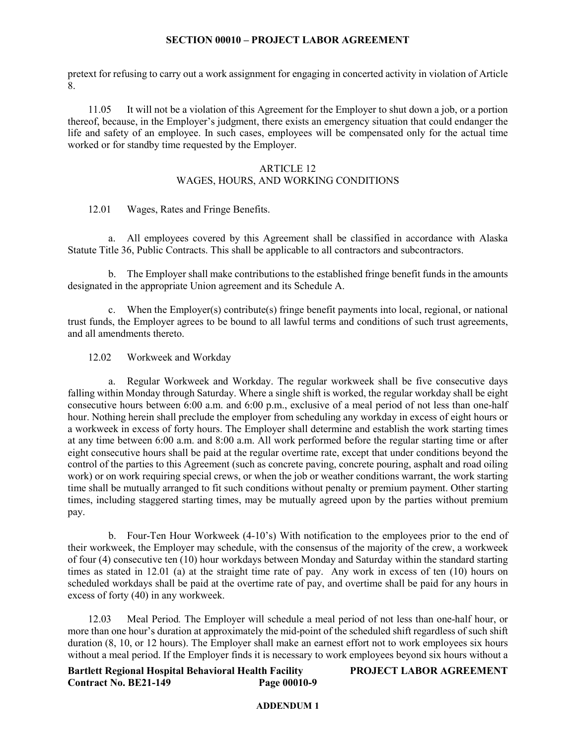pretext for refusing to carry out a work assignment for engaging in concerted activity in violation of Article 8.

11.05 It will not be a violation of this Agreement for the Employer to shut down a job, or a portion thereof, because, in the Employer's judgment, there exists an emergency situation that could endanger the life and safety of an employee. In such cases, employees will be compensated only for the actual time worked or for standby time requested by the Employer.

# ARTICLE 12

# WAGES, HOURS, AND WORKING CONDITIONS

12.01 Wages, Rates and Fringe Benefits.

a. All employees covered by this Agreement shall be classified in accordance with Alaska Statute Title 36, Public Contracts. This shall be applicable to all contractors and subcontractors.

b. The Employer shall make contributions to the established fringe benefit funds in the amounts designated in the appropriate Union agreement and its Schedule A.

c. When the Employer(s) contribute(s) fringe benefit payments into local, regional, or national trust funds, the Employer agrees to be bound to all lawful terms and conditions of such trust agreements, and all amendments thereto.

12.02 Workweek and Workday

a. Regular Workweek and Workday. The regular workweek shall be five consecutive days falling within Monday through Saturday. Where a single shift is worked, the regular workday shall be eight consecutive hours between 6:00 a.m. and 6:00 p.m., exclusive of a meal period of not less than one-half hour. Nothing herein shall preclude the employer from scheduling any workday in excess of eight hours or a workweek in excess of forty hours. The Employer shall determine and establish the work starting times at any time between 6:00 a.m. and 8:00 a.m. All work performed before the regular starting time or after eight consecutive hours shall be paid at the regular overtime rate, except that under conditions beyond the control of the parties to this Agreement (such as concrete paving, concrete pouring, asphalt and road oiling work) or on work requiring special crews, or when the job or weather conditions warrant, the work starting time shall be mutually arranged to fit such conditions without penalty or premium payment. Other starting times, including staggered starting times, may be mutually agreed upon by the parties without premium pay.

b. Four-Ten Hour Workweek (4-10's) With notification to the employees prior to the end of their workweek, the Employer may schedule, with the consensus of the majority of the crew, a workweek of four (4) consecutive ten (10) hour workdays between Monday and Saturday within the standard starting times as stated in 12.01 (a) at the straight time rate of pay. Any work in excess of ten (10) hours on scheduled workdays shall be paid at the overtime rate of pay, and overtime shall be paid for any hours in excess of forty (40) in any workweek.

12.03 Meal Period*.* The Employer will schedule a meal period of not less than one-half hour, or more than one hour's duration at approximately the mid-point of the scheduled shift regardless of such shift duration (8, 10, or 12 hours). The Employer shall make an earnest effort not to work employees six hours without a meal period. If the Employer finds it is necessary to work employees beyond six hours without a

**Bartlett Regional Hospital Behavioral Health Facility PROJECT LABOR AGREEMENT Contract No. BE21-149**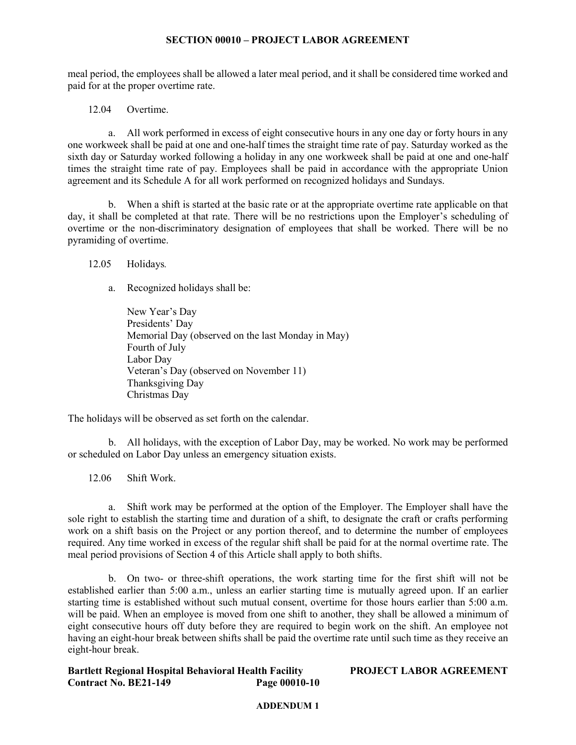meal period, the employees shall be allowed a later meal period, and it shall be considered time worked and paid for at the proper overtime rate.

12.04 Overtime.

a. All work performed in excess of eight consecutive hours in any one day or forty hours in any one workweek shall be paid at one and one-half times the straight time rate of pay. Saturday worked as the sixth day or Saturday worked following a holiday in any one workweek shall be paid at one and one-half times the straight time rate of pay. Employees shall be paid in accordance with the appropriate Union agreement and its Schedule A for all work performed on recognized holidays and Sundays.

b. When a shift is started at the basic rate or at the appropriate overtime rate applicable on that day, it shall be completed at that rate. There will be no restrictions upon the Employer's scheduling of overtime or the non-discriminatory designation of employees that shall be worked. There will be no pyramiding of overtime.

12.05 Holidays*.*

a. Recognized holidays shall be:

New Year's Day Presidents' Day Memorial Day (observed on the last Monday in May) Fourth of July Labor Day Veteran's Day (observed on November 11) Thanksgiving Day Christmas Day

The holidays will be observed as set forth on the calendar.

b. All holidays, with the exception of Labor Day, may be worked. No work may be performed or scheduled on Labor Day unless an emergency situation exists.

12.06 Shift Work.

a. Shift work may be performed at the option of the Employer. The Employer shall have the sole right to establish the starting time and duration of a shift, to designate the craft or crafts performing work on a shift basis on the Project or any portion thereof, and to determine the number of employees required. Any time worked in excess of the regular shift shall be paid for at the normal overtime rate. The meal period provisions of Section 4 of this Article shall apply to both shifts.

b. On two- or three-shift operations, the work starting time for the first shift will not be established earlier than 5:00 a.m., unless an earlier starting time is mutually agreed upon. If an earlier starting time is established without such mutual consent, overtime for those hours earlier than 5:00 a.m. will be paid. When an employee is moved from one shift to another, they shall be allowed a minimum of eight consecutive hours off duty before they are required to begin work on the shift. An employee not having an eight-hour break between shifts shall be paid the overtime rate until such time as they receive an eight-hour break.

**Bartlett Regional Hospital Behavioral Health Facility PROJECT LABOR AGREEMENT Contract No. BE21-149**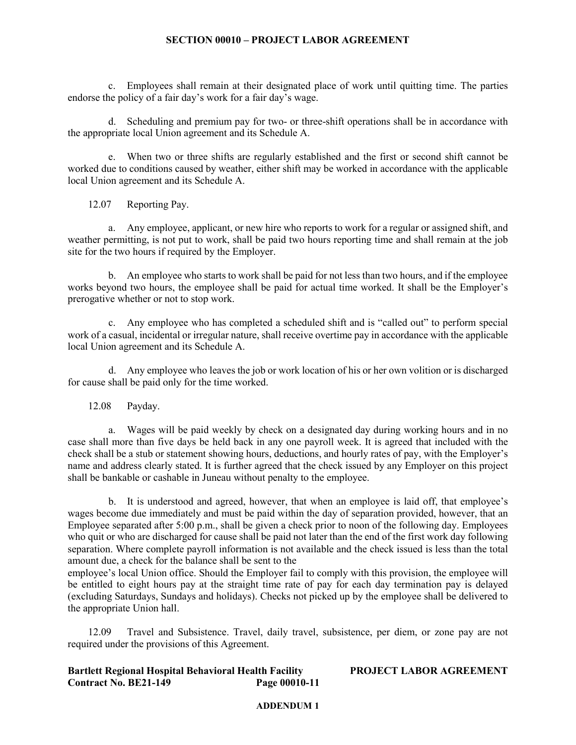c. Employees shall remain at their designated place of work until quitting time. The parties endorse the policy of a fair day's work for a fair day's wage.

d. Scheduling and premium pay for two- or three-shift operations shall be in accordance with the appropriate local Union agreement and its Schedule A.

e. When two or three shifts are regularly established and the first or second shift cannot be worked due to conditions caused by weather, either shift may be worked in accordance with the applicable local Union agreement and its Schedule A.

12.07 Reporting Pay.

a. Any employee, applicant, or new hire who reports to work for a regular or assigned shift, and weather permitting, is not put to work, shall be paid two hours reporting time and shall remain at the job site for the two hours if required by the Employer.

b. An employee who starts to work shall be paid for not less than two hours, and if the employee works beyond two hours, the employee shall be paid for actual time worked. It shall be the Employer's prerogative whether or not to stop work.

c. Any employee who has completed a scheduled shift and is "called out" to perform special work of a casual, incidental or irregular nature, shall receive overtime pay in accordance with the applicable local Union agreement and its Schedule A.

d. Any employee who leaves the job or work location of his or her own volition or is discharged for cause shall be paid only for the time worked.

12.08 Payday.

a. Wages will be paid weekly by check on a designated day during working hours and in no case shall more than five days be held back in any one payroll week. It is agreed that included with the check shall be a stub or statement showing hours, deductions, and hourly rates of pay, with the Employer's name and address clearly stated. It is further agreed that the check issued by any Employer on this project shall be bankable or cashable in Juneau without penalty to the employee.

b. It is understood and agreed, however, that when an employee is laid off, that employee's wages become due immediately and must be paid within the day of separation provided, however, that an Employee separated after 5:00 p.m., shall be given a check prior to noon of the following day. Employees who quit or who are discharged for cause shall be paid not later than the end of the first work day following separation. Where complete payroll information is not available and the check issued is less than the total amount due, a check for the balance shall be sent to the

employee's local Union office. Should the Employer fail to comply with this provision, the employee will be entitled to eight hours pay at the straight time rate of pay for each day termination pay is delayed (excluding Saturdays, Sundays and holidays). Checks not picked up by the employee shall be delivered to the appropriate Union hall.

12.09 Travel and Subsistence. Travel, daily travel, subsistence, per diem, or zone pay are not required under the provisions of this Agreement.

**Bartlett Regional Hospital Behavioral Health Facility PROJECT LABOR AGREEMENT Contract No. BE21-149**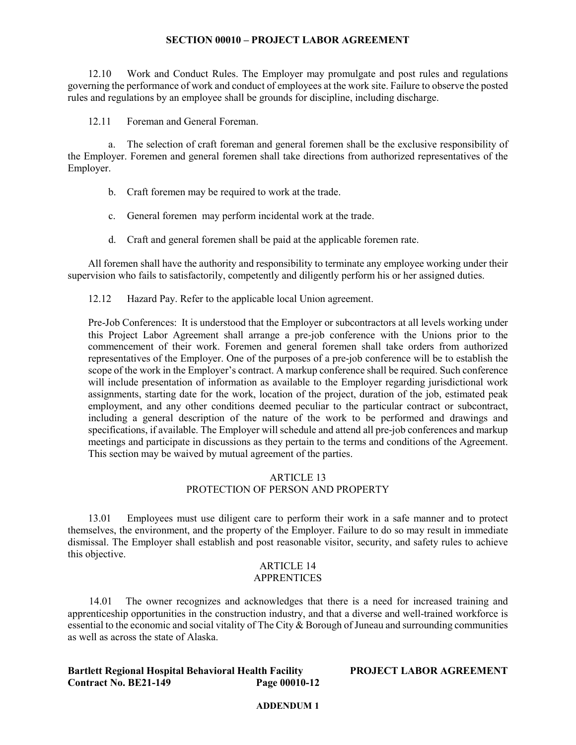12.10 Work and Conduct Rules. The Employer may promulgate and post rules and regulations governing the performance of work and conduct of employees at the work site. Failure to observe the posted rules and regulations by an employee shall be grounds for discipline, including discharge.

12.11 Foreman and General Foreman.

a. The selection of craft foreman and general foremen shall be the exclusive responsibility of the Employer. Foremen and general foremen shall take directions from authorized representatives of the Employer.

- b. Craft foremen may be required to work at the trade.
- c. General foremen may perform incidental work at the trade.
- d. Craft and general foremen shall be paid at the applicable foremen rate.

All foremen shall have the authority and responsibility to terminate any employee working under their supervision who fails to satisfactorily, competently and diligently perform his or her assigned duties.

12.12 Hazard Pay. Refer to the applicable local Union agreement.

Pre-Job Conferences: It is understood that the Employer or subcontractors at all levels working under this Project Labor Agreement shall arrange a pre-job conference with the Unions prior to the commencement of their work. Foremen and general foremen shall take orders from authorized representatives of the Employer. One of the purposes of a pre-job conference will be to establish the scope of the work in the Employer's contract. A markup conference shall be required. Such conference will include presentation of information as available to the Employer regarding jurisdictional work assignments, starting date for the work, location of the project, duration of the job, estimated peak employment, and any other conditions deemed peculiar to the particular contract or subcontract, including a general description of the nature of the work to be performed and drawings and specifications, if available. The Employer will schedule and attend all pre-job conferences and markup meetings and participate in discussions as they pertain to the terms and conditions of the Agreement. This section may be waived by mutual agreement of the parties.

# ARTICLE 13 PROTECTION OF PERSON AND PROPERTY

13.01 Employees must use diligent care to perform their work in a safe manner and to protect themselves, the environment, and the property of the Employer. Failure to do so may result in immediate dismissal. The Employer shall establish and post reasonable visitor, security, and safety rules to achieve this objective.

# ARTICLE 14 APPRENTICES

14.01 The owner recognizes and acknowledges that there is a need for increased training and apprenticeship opportunities in the construction industry, and that a diverse and well-trained workforce is essential to the economic and social vitality of The City & Borough of Juneau and surrounding communities as well as across the state of Alaska.

# **Bartlett Regional Hospital Behavioral Health Facility PROJECT LABOR AGREEMENT Contract No. BE21-149**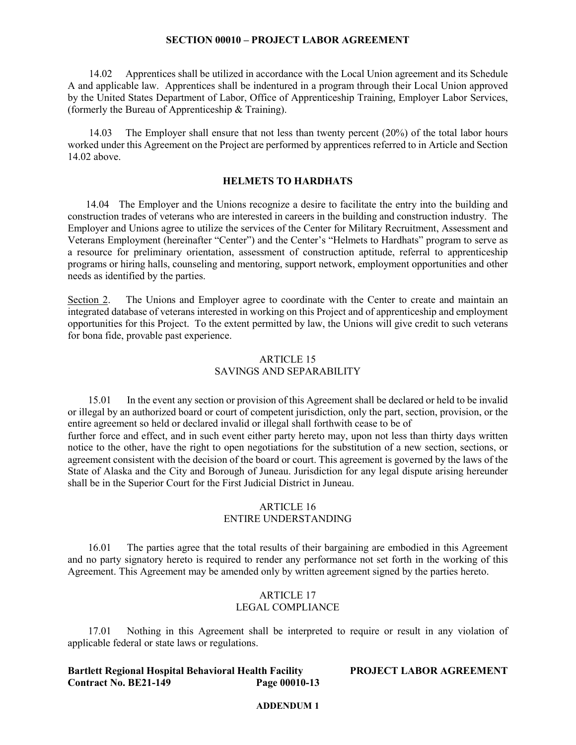14.02 Apprentices shall be utilized in accordance with the Local Union agreement and its Schedule A and applicable law. Apprentices shall be indentured in a program through their Local Union approved by the United States Department of Labor, Office of Apprenticeship Training, Employer Labor Services, (formerly the Bureau of Apprenticeship & Training).

14.03 The Employer shall ensure that not less than twenty percent (20%) of the total labor hours worked under this Agreement on the Project are performed by apprentices referred to in Article and Section 14.02 above.

# **HELMETS TO HARDHATS**

 14.04 The Employer and the Unions recognize a desire to facilitate the entry into the building and construction trades of veterans who are interested in careers in the building and construction industry. The Employer and Unions agree to utilize the services of the Center for Military Recruitment, Assessment and Veterans Employment (hereinafter "Center") and the Center's "Helmets to Hardhats" program to serve as a resource for preliminary orientation, assessment of construction aptitude, referral to apprenticeship programs or hiring halls, counseling and mentoring, support network, employment opportunities and other needs as identified by the parties.

Section 2. The Unions and Employer agree to coordinate with the Center to create and maintain an integrated database of veterans interested in working on this Project and of apprenticeship and employment opportunities for this Project. To the extent permitted by law, the Unions will give credit to such veterans for bona fide, provable past experience.

### ARTICLE 15 SAVINGS AND SEPARABILITY

15.01 In the event any section or provision of this Agreement shall be declared or held to be invalid or illegal by an authorized board or court of competent jurisdiction, only the part, section, provision, or the entire agreement so held or declared invalid or illegal shall forthwith cease to be of further force and effect, and in such event either party hereto may, upon not less than thirty days written notice to the other, have the right to open negotiations for the substitution of a new section, sections, or agreement consistent with the decision of the board or court. This agreement is governed by the laws of the State of Alaska and the City and Borough of Juneau. Jurisdiction for any legal dispute arising hereunder shall be in the Superior Court for the First Judicial District in Juneau.

### ARTICLE 16 ENTIRE UNDERSTANDING

16.01 The parties agree that the total results of their bargaining are embodied in this Agreement and no party signatory hereto is required to render any performance not set forth in the working of this Agreement. This Agreement may be amended only by written agreement signed by the parties hereto.

### ARTICLE 17 LEGAL COMPLIANCE

17.01 Nothing in this Agreement shall be interpreted to require or result in any violation of applicable federal or state laws or regulations.

## **Bartlett Regional Hospital Behavioral Health Facility PROJECT LABOR AGREEMENT Contract No. BE21-149**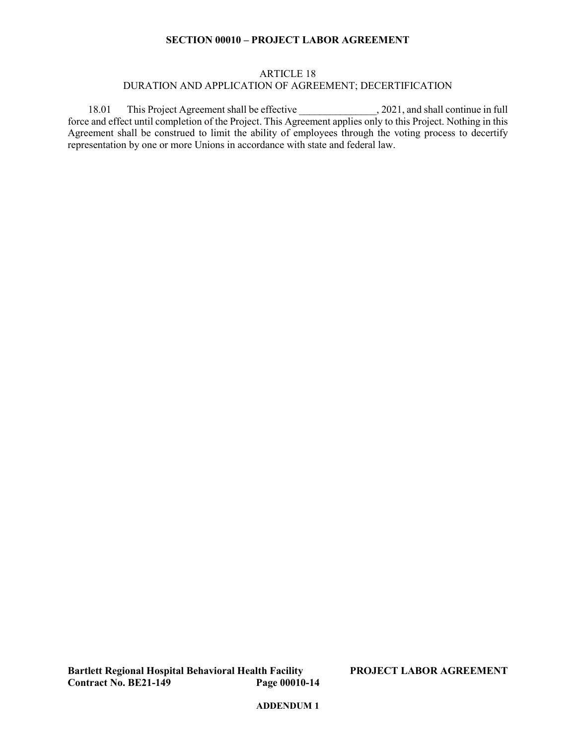# ARTICLE 18 DURATION AND APPLICATION OF AGREEMENT; DECERTIFICATION

18.01 This Project Agreement shall be effective \_\_\_\_\_\_\_\_\_\_\_\_\_\_\_, 2021, and shall continue in full force and effect until completion of the Project. This Agreement applies only to this Project. Nothing in this Agreement shall be construed to limit the ability of employees through the voting process to decertify representation by one or more Unions in accordance with state and federal law.

**Bartlett Regional Hospital Behavioral Health Facility PROJECT LABOR AGREEMENT Contract No. BE21-149**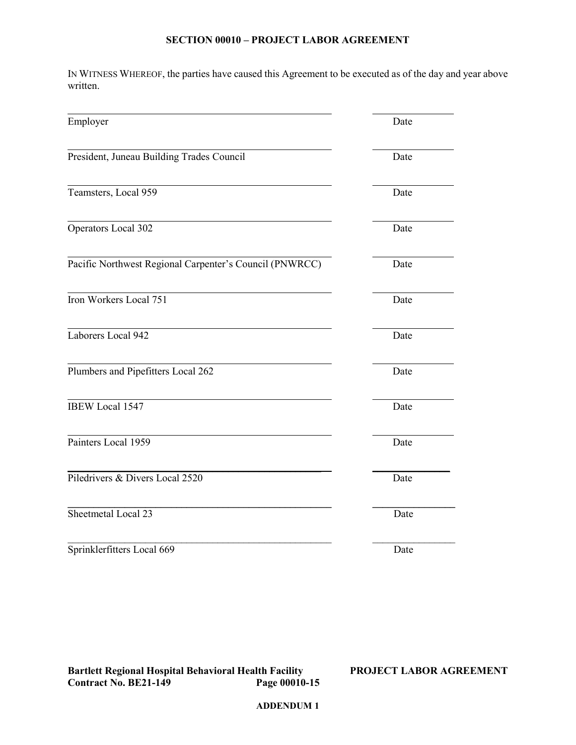IN WITNESS WHEREOF, the parties have caused this Agreement to be executed as of the day and year above written.

| Employer                                                | Date |
|---------------------------------------------------------|------|
| President, Juneau Building Trades Council               | Date |
| Teamsters, Local 959                                    | Date |
| Operators Local 302                                     | Date |
| Pacific Northwest Regional Carpenter's Council (PNWRCC) | Date |
| Iron Workers Local 751                                  | Date |
| Laborers Local 942                                      | Date |
| Plumbers and Pipefitters Local 262                      | Date |
| <b>IBEW Local 1547</b>                                  | Date |
| Painters Local 1959                                     | Date |
| Piledrivers & Divers Local 2520                         | Date |
| Sheetmetal Local 23                                     | Date |
| Sprinklerfitters Local 669                              | Date |

**Bartlett Regional Hospital Behavioral Health Facility PROJECT LABOR AGREEMENT Contract No. BE21-149 Page 00010-15**